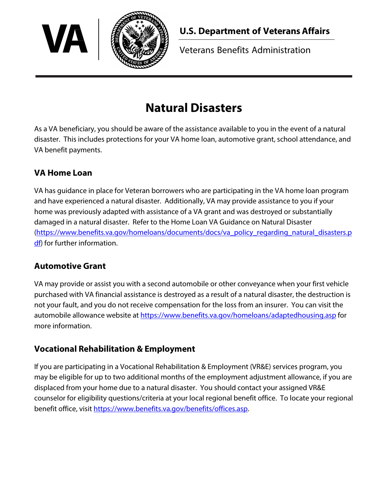

Veterans Benefits Administration

# **Natural Disasters**

As a VA beneficiary, you should be aware of the assistance available to you in the event of a natural disaster. This includes protections for your VA home loan, automotive grant, school attendance, and VA benefit payments.

## **VA Home Loan**

VA has guidance in place for Veteran borrowers who are participating in the VA home loan program and have experienced a natural disaster. Additionally, VA may provide assistance to you if your home was previously adapted with assistance of a VA grant and was destroyed or substantially damaged in a natural disaster. Refer to the [Home Loan VA Guidance on Natural Disaster](https://www.benefits.va.gov/homeloans/documents/docs/va_policy_regarding_natural_disasters.pdf) [\(https://www.benefits.va.gov/homeloans/documents/docs/va\\_policy\\_regarding\\_natural\\_disasters.p](https://www.benefits.va.gov/homeloans/documents/docs/va_policy_regarding_natural_disasters.pdf) [df\)](https://www.benefits.va.gov/homeloans/documents/docs/va_policy_regarding_natural_disasters.pdf) for further information.

#### **Automotive Grant**

VA may provide or assist you with a second automobile or other conveyance when your first vehicle purchased with VA financial assistance is destroyed as a result of a natural disaster, the destruction is not your fault, and you do not receive compensation for the loss from an insurer. You can visit the automobile allowance website at<https://www.benefits.va.gov/homeloans/adaptedhousing.asp>for more information.

## **Vocational Rehabilitation & Employment**

If you are participating in a Vocational Rehabilitation & Employment (VR&E) services program, you may be eligible for up to two additional months of the employment adjustment allowance, if you are displaced from your home due to a natural disaster. You should contact your assigned VR&E counselor for eligibility questions/criteria at your local regional benefit office. To locate your regional benefit office, visit [https://www.benefits.va.gov/benefits/offices.asp.](https://www.benefits.va.gov/benefits/offices.asp)